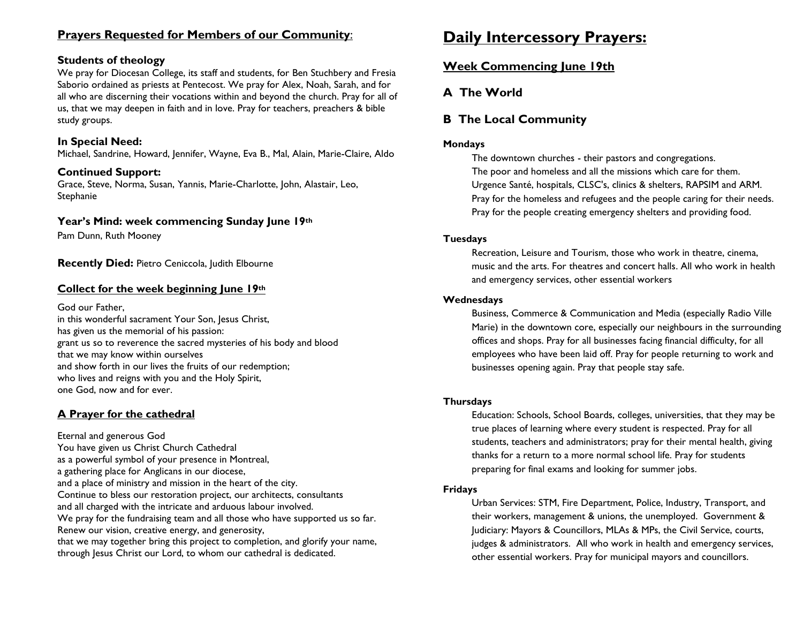### **Prayers Requested for Members of our Community**:

#### **Students of theology**

We pray for Diocesan College, its staff and students, for Ben Stuchbery and Fresia Saborio ordained as priests at Pentecost. We pray for Alex, Noah, Sarah, and for all who are discerning their vocations within and beyond the church. Pray for all of us, that we may deepen in faith and in love. Pray for teachers, preachers & bible study groups.

#### **In Special Need:**

Michael, Sandrine, Howard, Jennifer, Wayne, Eva B., Mal, Alain, Marie-Claire, Aldo

#### **Continued Support:**

Grace, Steve, Norma, Susan, Yannis, Marie-Charlotte, John, Alastair, Leo, Stephanie

#### **Year's Mind: week commencing Sunday June 19th**

Pam Dunn, Ruth Mooney

**Recently Died: Pietro Ceniccola, Judith Elbourne** 

#### **Collect for the week beginning June 19th**

God our Father,

in this wonderful sacrament Your Son, Jesus Christ, has given us the memorial of his passion: grant us so to reverence the sacred mysteries of his body and blood that we may know within ourselves and show forth in our lives the fruits of our redemption; who lives and reigns with you and the Holy Spirit, one God, now and for ever.

### **A Prayer for the cathedral**

Eternal and generous God You have given us Christ Church Cathedral as a powerful symbol of your presence in Montreal, a gathering place for Anglicans in our diocese, and a place of ministry and mission in the heart of the city. Continue to bless our restoration project, our architects, consultants and all charged with the intricate and arduous labour involved. We pray for the fundraising team and all those who have supported us so far. Renew our vision, creative energy, and generosity, that we may together bring this project to completion, and glorify your name, through Jesus Christ our Lord, to whom our cathedral is dedicated.

# **Daily Intercessory Prayers:**

### **Week Commencing June 19th**

### **A The World**

### **B The Local Community**

#### **Mondays**

The downtown churches - their pastors and congregations. The poor and homeless and all the missions which care for them. Urgence Santé, hospitals, CLSC's, clinics & shelters, RAPSIM and ARM. Pray for the homeless and refugees and the people caring for their needs. Pray for the people creating emergency shelters and providing food.

#### **Tuesdays**

Recreation, Leisure and Tourism, those who work in theatre, cinema, music and the arts. For theatres and concert halls. All who work in health and emergency services, other essential workers

#### **Wednesdays**

Business, Commerce & Communication and Media (especially Radio Ville Marie) in the downtown core, especially our neighbours in the surrounding offices and shops. Pray for all businesses facing financial difficulty, for all employees who have been laid off. Pray for people returning to work and businesses opening again. Pray that people stay safe.

#### **Thursdays**

Education: Schools, School Boards, colleges, universities, that they may be true places of learning where every student is respected. Pray for all students, teachers and administrators; pray for their mental health, giving thanks for a return to a more normal school life. Pray for students preparing for final exams and looking for summer jobs.

#### **Fridays**

Urban Services: STM, Fire Department, Police, Industry, Transport, and their workers, management & unions, the unemployed. Government & Judiciary: Mayors & Councillors, MLAs & MPs, the Civil Service, courts, judges & administrators. All who work in health and emergency services, other essential workers. Pray for municipal mayors and councillors.